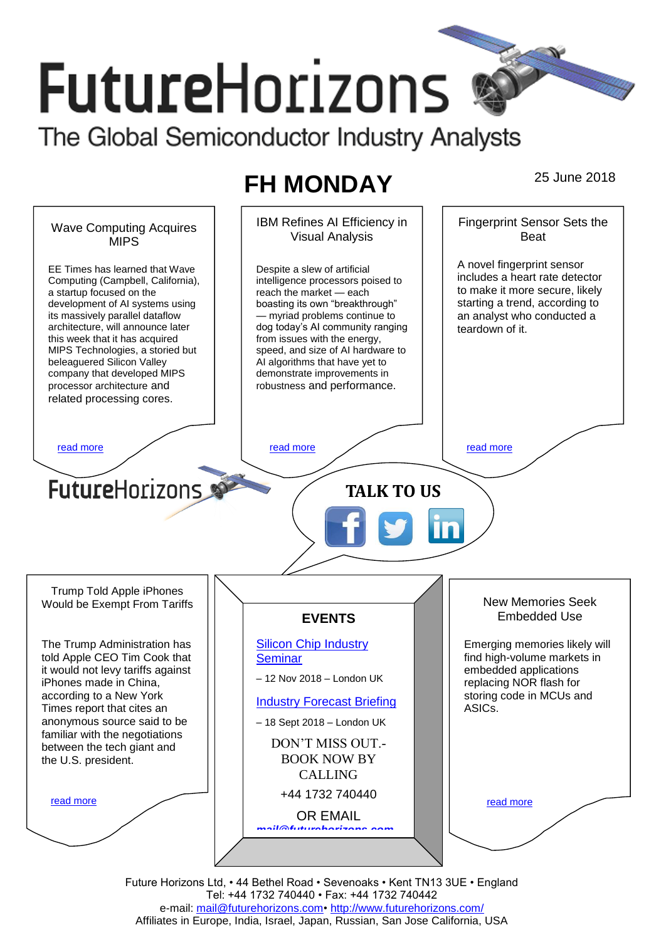# **FutureHorizons** The Global Semiconductor Industry Analysts

## **FH MONDAY** 25 June 2018



Future Horizons Ltd, • 44 Bethel Road • Sevenoaks • Kent TN13 3UE • England Tel: +44 1732 740440 • Fax: +44 1732 740442 e-mail: [mail@futurehorizons.com•](../FH%20Monday%20-%202017/mail@futurehorizons.com)<http://www.futurehorizons.com/> Affiliates in Europe, India, Israel, Japan, Russian, San Jose California, USA